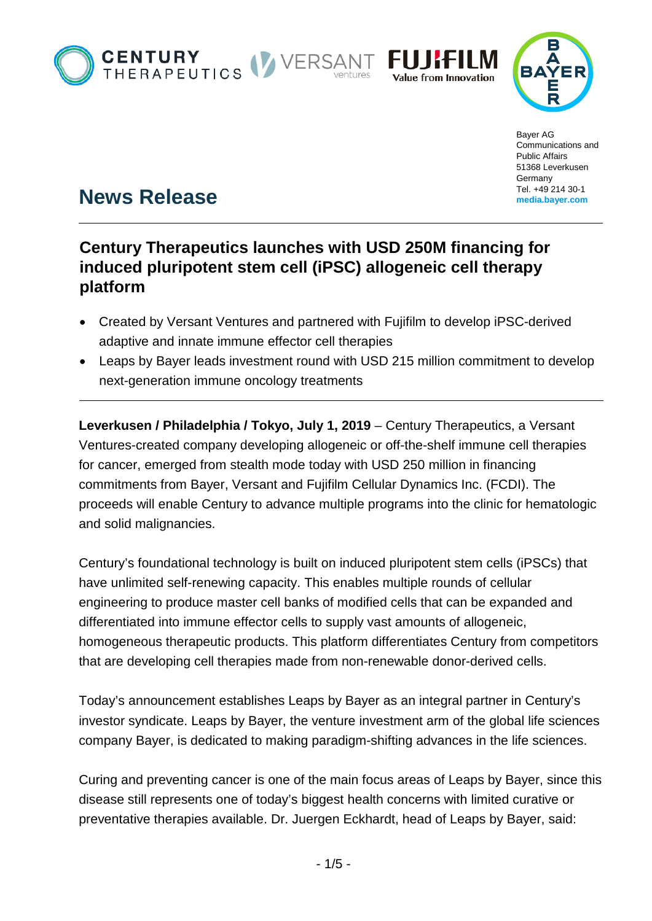





Bayer AG Communications and Public Affairs 51368 Leverkusen **Germany** Tel. +49 214 30-1 **[media.bayer.com](http://media.bayer.de/)**

# **News Release**

## **Century Therapeutics launches with USD 250M financing for induced pluripotent stem cell (iPSC) allogeneic cell therapy platform**

- Created by Versant Ventures and partnered with Fujifilm to develop iPSC-derived adaptive and innate immune effector cell therapies
- Leaps by Bayer leads investment round with USD 215 million commitment to develop next-generation immune oncology treatments

**Leverkusen / Philadelphia / Tokyo, July 1, 2019** – Century Therapeutics, a Versant Ventures-created company developing allogeneic or off-the-shelf immune cell therapies for cancer, emerged from stealth mode today with USD 250 million in financing commitments from Bayer, Versant and Fujifilm Cellular Dynamics Inc. (FCDI). The proceeds will enable Century to advance multiple programs into the clinic for hematologic and solid malignancies.

Century's foundational technology is built on induced pluripotent stem cells (iPSCs) that have unlimited self-renewing capacity. This enables multiple rounds of cellular engineering to produce master cell banks of modified cells that can be expanded and differentiated into immune effector cells to supply vast amounts of allogeneic, homogeneous therapeutic products. This platform differentiates Century from competitors that are developing cell therapies made from non-renewable donor-derived cells.

Today's announcement establishes Leaps by Bayer as an integral partner in Century's investor syndicate. Leaps by Bayer, the venture investment arm of the global life sciences company Bayer, is dedicated to making paradigm-shifting advances in the life sciences.

Curing and preventing cancer is one of the main focus areas of Leaps by Bayer, since this disease still represents one of today's biggest health concerns with limited curative or preventative therapies available. Dr. Juergen Eckhardt, head of Leaps by Bayer, said: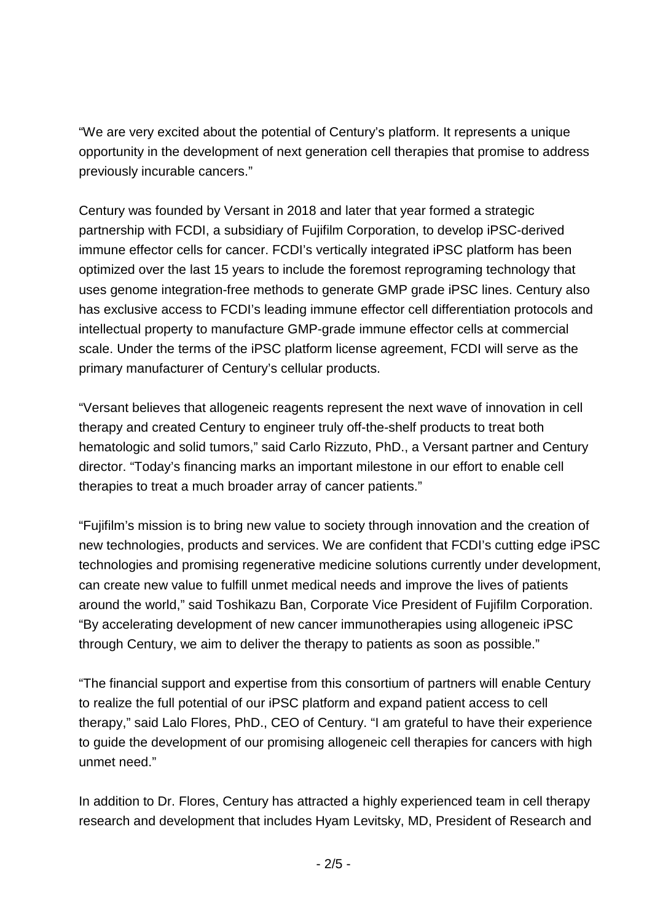"We are very excited about the potential of Century's platform. It represents a unique opportunity in the development of next generation cell therapies that promise to address previously incurable cancers."

Century was founded by Versant in 2018 and later that year formed a strategic partnership with FCDI, a subsidiary of Fujifilm Corporation, to develop iPSC-derived immune effector cells for cancer. FCDI's vertically integrated iPSC platform has been optimized over the last 15 years to include the foremost reprograming technology that uses genome integration-free methods to generate GMP grade iPSC lines. Century also has exclusive access to FCDI's leading immune effector cell differentiation protocols and intellectual property to manufacture GMP-grade immune effector cells at commercial scale. Under the terms of the iPSC platform license agreement, FCDI will serve as the primary manufacturer of Century's cellular products.

"Versant believes that allogeneic reagents represent the next wave of innovation in cell therapy and created Century to engineer truly off-the-shelf products to treat both hematologic and solid tumors," said Carlo Rizzuto, PhD., a Versant partner and Century director. "Today's financing marks an important milestone in our effort to enable cell therapies to treat a much broader array of cancer patients."

"Fujifilm's mission is to bring new value to society through innovation and the creation of new technologies, products and services. We are confident that FCDI's cutting edge iPSC technologies and promising regenerative medicine solutions currently under development, can create new value to fulfill unmet medical needs and improve the lives of patients around the world," said Toshikazu Ban, Corporate Vice President of Fujifilm Corporation. "By accelerating development of new cancer immunotherapies using allogeneic iPSC through Century, we aim to deliver the therapy to patients as soon as possible."

"The financial support and expertise from this consortium of partners will enable Century to realize the full potential of our iPSC platform and expand patient access to cell therapy," said Lalo Flores, PhD., CEO of Century. "I am grateful to have their experience to guide the development of our promising allogeneic cell therapies for cancers with high unmet need."

In addition to Dr. Flores, Century has attracted a highly experienced team in cell therapy research and development that includes Hyam Levitsky, MD, President of Research and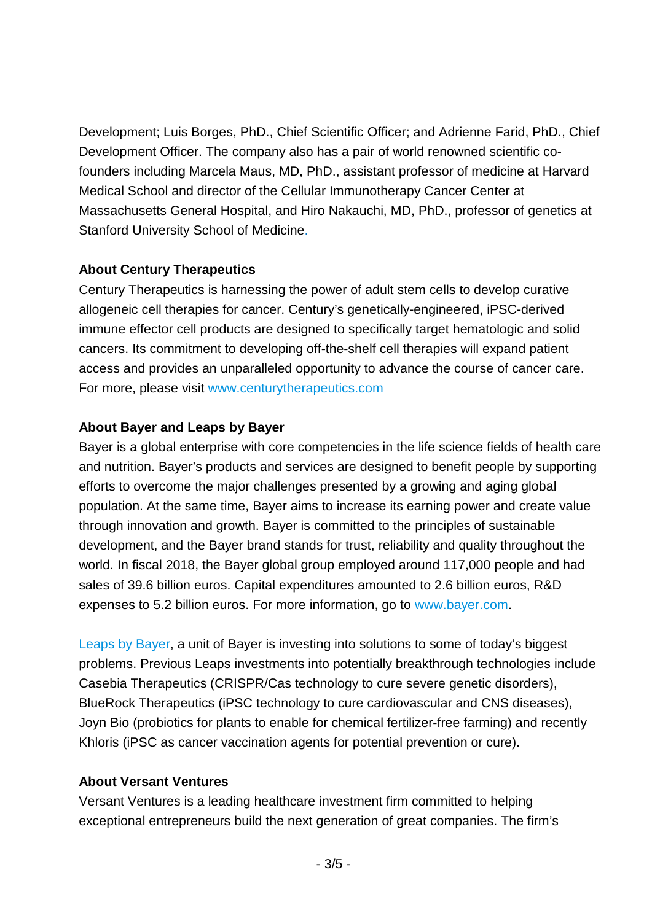Development; Luis Borges, PhD., Chief Scientific Officer; and Adrienne Farid, PhD., Chief Development Officer. The company also has a pair of world renowned scientific cofounders including Marcela Maus, MD, PhD., assistant professor of medicine at Harvard Medical School and director of the Cellular Immunotherapy Cancer Center at Massachusetts General Hospital, and Hiro Nakauchi, MD, PhD., professor of genetics at Stanford University School of Medicine.

#### **About Century Therapeutics**

Century Therapeutics is harnessing the power of adult stem cells to develop curative allogeneic cell therapies for cancer. Century's genetically-engineered, iPSC-derived immune effector cell products are designed to specifically target hematologic and solid cancers. Its commitment to developing off-the-shelf cell therapies will expand patient access and provides an unparalleled opportunity to advance the course of cancer care. For more, please visit [www.centurytherapeutics.com](http://www.centurytherapeutics.com/)

### **About Bayer and Leaps by Bayer**

Bayer is a global enterprise with core competencies in the life science fields of health care and nutrition. Bayer's products and services are designed to benefit people by supporting efforts to overcome the major challenges presented by a growing and aging global population. At the same time, Bayer aims to increase its earning power and create value through innovation and growth. Bayer is committed to the principles of sustainable development, and the Bayer brand stands for trust, reliability and quality throughout the world. In fiscal 2018, the Bayer global group employed around 117,000 people and had sales of 39.6 billion euros. Capital expenditures amounted to 2.6 billion euros, R&D expenses to 5.2 billion euros. For more information, go to [www.bayer.com.](http://www.bayer.com/)

[Leaps by Bayer,](https://leaps.bayer.com/) a unit of Bayer is investing into solutions to some of today's biggest problems. Previous Leaps investments into potentially breakthrough technologies include Casebia Therapeutics (CRISPR/Cas technology to cure severe genetic disorders), BlueRock Therapeutics (iPSC technology to cure cardiovascular and CNS diseases), Joyn Bio (probiotics for plants to enable for chemical fertilizer-free farming) and recently Khloris (iPSC as cancer vaccination agents for potential prevention or cure).

### **About Versant Ventures**

Versant Ventures is a leading healthcare investment firm committed to helping exceptional entrepreneurs build the next generation of great companies. The firm's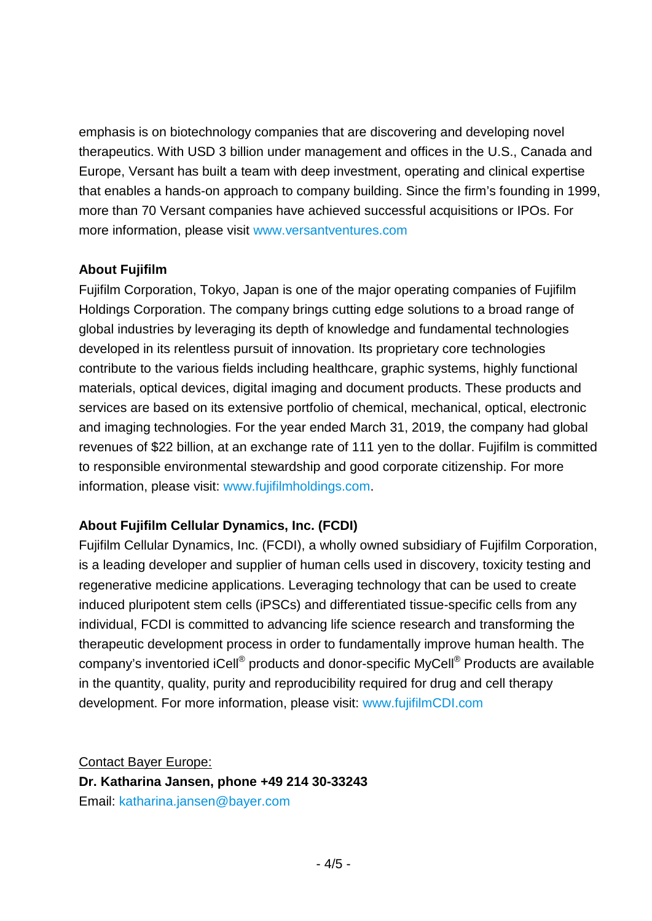emphasis is on biotechnology companies that are discovering and developing novel therapeutics. With USD 3 billion under management and offices in the U.S., Canada and Europe, Versant has built a team with deep investment, operating and clinical expertise that enables a hands-on approach to company building. Since the firm's founding in 1999, more than 70 Versant companies have achieved successful acquisitions or IPOs. For more information, please visit [www.versantventures.com](http://www.versantventures.com/)

#### **About Fujifilm**

Fujifilm Corporation, Tokyo, Japan is one of the major operating companies of Fujifilm Holdings Corporation. The company brings cutting edge solutions to a broad range of global industries by leveraging its depth of knowledge and fundamental technologies developed in its relentless pursuit of innovation. Its proprietary core technologies contribute to the various fields including healthcare, graphic systems, highly functional materials, optical devices, digital imaging and document products. These products and services are based on its extensive portfolio of chemical, mechanical, optical, electronic and imaging technologies. For the year ended March 31, 2019, the company had global revenues of \$22 billion, at an exchange rate of 111 yen to the dollar. Fujifilm is committed to responsible environmental stewardship and good corporate citizenship. For more information, please visit: [www.fujifilmholdings.com.](http://www.fujifilmholdings.com/)

### **About Fujifilm Cellular Dynamics, Inc. (FCDI)**

Fujifilm Cellular Dynamics, Inc. (FCDI), a wholly owned subsidiary of Fujifilm Corporation, is a leading developer and supplier of human cells used in discovery, toxicity testing and regenerative medicine applications. Leveraging technology that can be used to create induced pluripotent stem cells (iPSCs) and differentiated tissue-specific cells from any individual, FCDI is committed to advancing life science research and transforming the therapeutic development process in order to fundamentally improve human health. The company's inventoried iCell® products and donor-specific MyCell® Products are available in the quantity, quality, purity and reproducibility required for drug and cell therapy development. For more information, please visit: [www.fujifilmCDI.com](http://www.fujifilmcdi.com/)

Contact Bayer Europe: **Dr. Katharina Jansen, phone +49 214 30-33243** Email: [katharina.jansen@bayer.com](mailto:katharina.jansen@bayer.com)